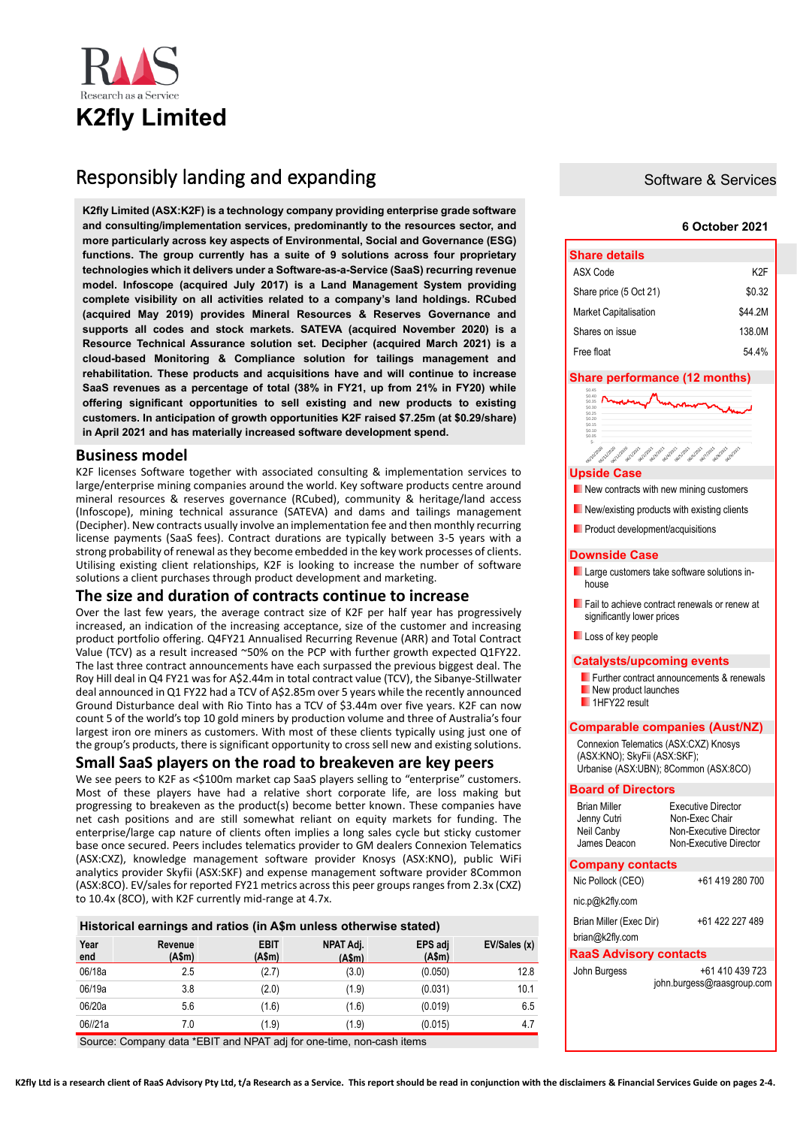

# Responsibly landing and expanding

**K2fly Limited (ASX:K2F) is a technology company providing enterprise grade software and consulting/implementation services, predominantly to the resources sector, and more particularly across key aspects of Environmental, Social and Governance (ESG) functions. The group currently has a suite of 9 solutions across four proprietary technologies which it delivers under a Software-as-a-Service (SaaS) recurring revenue model. Infoscope (acquired July 2017) is a Land Management System providing complete visibility on all activities related to a company's land holdings. RCubed (acquired May 2019) provides Mineral Resources & Reserves Governance and supports all codes and stock markets. SATEVA (acquired November 2020) is a Resource Technical Assurance solution set. Decipher (acquired March 2021) is a cloud-based Monitoring & Compliance solution for tailings management and rehabilitation. These products and acquisitions have and will continue to increase SaaS revenues as a percentage of total (38% in FY21, up from 21% in FY20) while offering significant opportunities to sell existing and new products to existing customers. In anticipation of growth opportunities K2F raised \$7.25m (at \$0.29/share) in April 2021 and has materially increased software development spend.** 

## **Business model**

K2F licenses Software together with associated consulting & implementation services to large/enterprise mining companies around the world. Key software products centre around mineral resources & reserves governance (RCubed), community & heritage/land access (Infoscope), mining technical assurance (SATEVA) and dams and tailings management (Decipher). New contracts usually involve an implementation fee and then monthly recurring license payments (SaaS fees). Contract durations are typically between 3-5 years with a strong probability of renewal as they become embedded in the key work processes of clients. Utilising existing client relationships, K2F is looking to increase the number of software solutions a client purchases through product development and marketing.

## **The size and duration of contracts continue to increase**

Over the last few years, the average contract size of K2F per half year has progressively increased, an indication of the increasing acceptance, size of the customer and increasing product portfolio offering. Q4FY21 Annualised Recurring Revenue (ARR) and Total Contract Value (TCV) as a result increased ~50% on the PCP with further growth expected Q1FY22. The last three contract announcements have each surpassed the previous biggest deal. The Roy Hill deal in Q4 FY21 was for A\$2.44m in total contract value (TCV), the Sibanye-Stillwater deal announced in Q1 FY22 had a TCV of A\$2.85m over 5 years while the recently announced Ground Disturbance deal with Rio Tinto has a TCV of \$3.44m over five years. K2F can now count 5 of the world's top 10 gold miners by production volume and three of Australia's four largest iron ore miners as customers. With most of these clients typically using just one of the group's products, there is significant opportunity to cross sell new and existing solutions.

## **Small SaaS players on the road to breakeven are key peers**

We see peers to K2F as <\$100m market cap SaaS players selling to "enterprise" customers. Most of these players have had a relative short corporate life, are loss making but progressing to breakeven as the product(s) become better known. These companies have net cash positions and are still somewhat reliant on equity markets for funding. The enterprise/large cap nature of clients often implies a long sales cycle but sticky customer base once secured. Peers includes telematics provider to GM dealers Connexion Telematics (ASX:CXZ), knowledge management software provider Knosys (ASX:KNO), public WiFi analytics provider Skyfii (ASX:SKF) and expense management software provider 8Common (ASX:8CO). EV/sales for reported FY21 metrics across this peer groups ranges from 2.3x (CXZ) to 10.4x (8CO), with K2F currently mid-range at 4.7x.

#### **Historical earnings and ratios (in A\$m unless otherwise stated)**

| Year<br>end | Revenue<br>(A\$m) | <b>EBIT</b><br>(A\$m) | NPAT Adj.<br>(A\$m) | EPS adj<br>(A\$m) | EV/Sales (x) |
|-------------|-------------------|-----------------------|---------------------|-------------------|--------------|
| 06/18a      | 2.5               | (2.7)                 | (3.0)               | (0.050)           | 12.8         |
| 06/19a      | 3.8               | (2.0)                 | (1.9)               | (0.031)           | 10.1         |
| 06/20a      | 5.6               | (1.6)                 | (1.6)               | (0.019)           | 6.5          |
| 06//21a     | 7.0               | (1.9)                 | (1.9)               | (0.015)           | 4.7          |

Source: Company data \*EBIT and NPAT adj for one-time, non-cash items

## Software & Services

#### **6 October 2021**

| <b>Share details</b>         |         |  |  |  |  |
|------------------------------|---------|--|--|--|--|
| ASX Code                     | K2F     |  |  |  |  |
| Share price (5 Oct 21)       | \$0.32  |  |  |  |  |
| <b>Market Capitalisation</b> | \$44.2M |  |  |  |  |
| Shares on issue              | 138.0M  |  |  |  |  |
| Free float                   | 544%    |  |  |  |  |

| Share performance (12 months)                                                                                |                                                                         |  |  |  |  |  |
|--------------------------------------------------------------------------------------------------------------|-------------------------------------------------------------------------|--|--|--|--|--|
| \$0.35                                                                                                       |                                                                         |  |  |  |  |  |
| \$0.30<br>\$0.25<br>\$0.20                                                                                   |                                                                         |  |  |  |  |  |
| \$0.15<br>\$0.10<br>\$0.05                                                                                   |                                                                         |  |  |  |  |  |
| neitonione<br>moladizon<br>molzazon<br><b>OGILIARY</b><br>okillago<br>deiblanc                               | ofolal2021<br>os/5/2021<br>deleters<br>deringer<br>ofolencoz<br>deletez |  |  |  |  |  |
| <b>Upside Case</b>                                                                                           |                                                                         |  |  |  |  |  |
| $\blacksquare$ New contracts with new mining customers                                                       |                                                                         |  |  |  |  |  |
| New/existing products with existing clients                                                                  |                                                                         |  |  |  |  |  |
| Product development/acquisitions                                                                             |                                                                         |  |  |  |  |  |
| <b>Downside Case</b>                                                                                         |                                                                         |  |  |  |  |  |
| Large customers take software solutions in-<br>house                                                         |                                                                         |  |  |  |  |  |
| Fail to achieve contract renewals or renew at<br>significantly lower prices                                  |                                                                         |  |  |  |  |  |
| Loss of key people                                                                                           |                                                                         |  |  |  |  |  |
| <b>Catalysts/upcoming events</b>                                                                             |                                                                         |  |  |  |  |  |
| <b>Further contract announcements &amp; renewals</b><br>New product launches<br>$\blacksquare$ 1HFY22 result |                                                                         |  |  |  |  |  |
|                                                                                                              | <b>Comparable companies (Aust/NZ)</b>                                   |  |  |  |  |  |
| Connexion Telematics (ASX:CXZ) Knosys                                                                        |                                                                         |  |  |  |  |  |
| (ASX:KNO); SkyFii (ASX:SKF);                                                                                 |                                                                         |  |  |  |  |  |
| Urbanise (ASX:UBN); 8Common (ASX:8CO)                                                                        |                                                                         |  |  |  |  |  |
| <b>Board of Directors</b>                                                                                    |                                                                         |  |  |  |  |  |
| <b>Brian Miller</b>                                                                                          | <b>Executive Director</b>                                               |  |  |  |  |  |
| Jenny Cutri<br>Neil Canby                                                                                    | Non-Exec Chair<br>Non-Executive Director                                |  |  |  |  |  |
| James Deacon                                                                                                 | Non-Executive Director                                                  |  |  |  |  |  |
| <b>Company contacts</b>                                                                                      |                                                                         |  |  |  |  |  |
| Nic Pollock (CEO)                                                                                            | +61 419 280 700                                                         |  |  |  |  |  |
| nic.p@k2fly.com                                                                                              |                                                                         |  |  |  |  |  |
| Brian Miller (Exec Dir)                                                                                      | +61 422 227 489                                                         |  |  |  |  |  |
| brian@k2fly.com                                                                                              |                                                                         |  |  |  |  |  |
| <b>RaaS Advisory contacts</b>                                                                                |                                                                         |  |  |  |  |  |
| +61 410 439 723<br>John Burgess                                                                              |                                                                         |  |  |  |  |  |
|                                                                                                              | john.burgess@raasgroup.com                                              |  |  |  |  |  |
|                                                                                                              |                                                                         |  |  |  |  |  |
|                                                                                                              |                                                                         |  |  |  |  |  |
|                                                                                                              |                                                                         |  |  |  |  |  |

**K2fly Ltd is a research client of RaaS Advisory Pty Ltd, t/a Research as a Service. This report should be read in conjunction with the disclaimers & Financial Services Guide on pages 2-4.**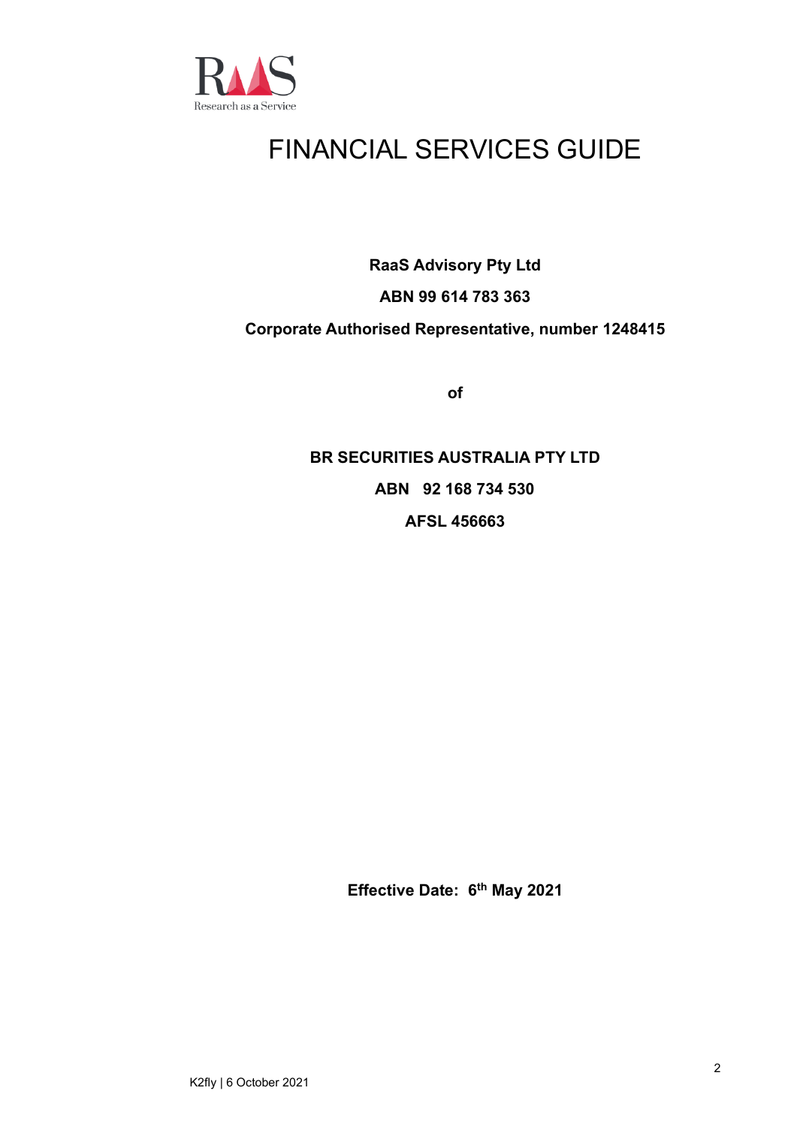

# FINANCIAL SERVICES GUIDE

**RaaS Advisory Pty Ltd**

# **ABN 99 614 783 363**

## **Corporate Authorised Representative, number 1248415**

**of**

**BR SECURITIES AUSTRALIA PTY LTD ABN 92 168 734 530 AFSL 456663**

**Effective Date: 6 th May 2021**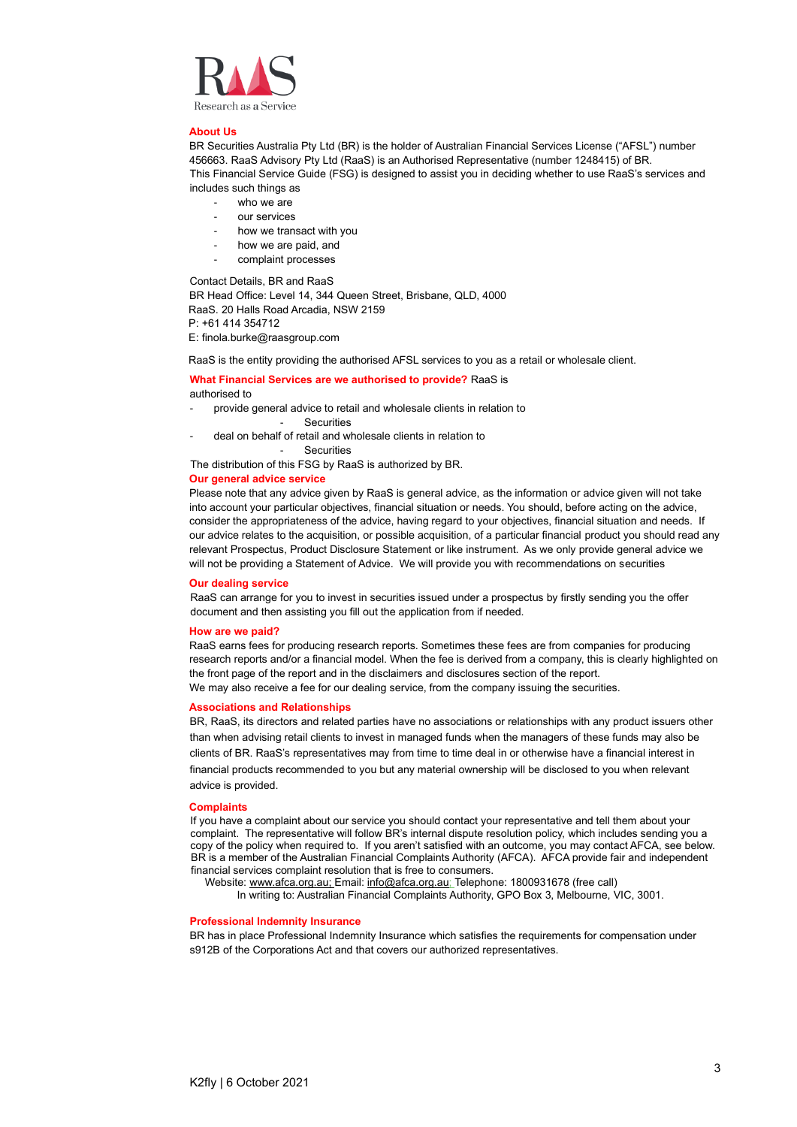

#### **About Us**

BR Securities Australia Pty Ltd (BR) is the holder of Australian Financial Services License ("AFSL") number 456663. RaaS Advisory Pty Ltd (RaaS) is an Authorised Representative (number 1248415) of BR. This Financial Service Guide (FSG) is designed to assist you in deciding whether to use RaaS's services and includes such things as

- who we are
- our services
- how we transact with you
- how we are paid, and
- complaint processes

Contact Details, BR and RaaS

BR Head Office: Level 14, 344 Queen Street, Brisbane, QLD, 4000 RaaS. 20 Halls Road Arcadia, NSW 2159 P: +61 414 354712

E: finola.burke@raasgroup.com

RaaS is the entity providing the authorised AFSL services to you as a retail or wholesale client.

#### **What Financial Services are we authorised to provide?** RaaS is authorised to

- provide general advice to retail and wholesale clients in relation to
	- Securities
- deal on behalf of retail and wholesale clients in relation to

**Securities** 

The distribution of this FSG by RaaS is authorized by BR.

#### **Our general advice service**

Please note that any advice given by RaaS is general advice, as the information or advice given will not take into account your particular objectives, financial situation or needs. You should, before acting on the advice, consider the appropriateness of the advice, having regard to your objectives, financial situation and needs. If our advice relates to the acquisition, or possible acquisition, of a particular financial product you should read any relevant Prospectus, Product Disclosure Statement or like instrument. As we only provide general advice we will not be providing a Statement of Advice. We will provide you with recommendations on securities

#### **Our dealing service**

RaaS can arrange for you to invest in securities issued under a prospectus by firstly sending you the offer document and then assisting you fill out the application from if needed.

#### **How are we paid?**

RaaS earns fees for producing research reports. Sometimes these fees are from companies for producing research reports and/or a financial model. When the fee is derived from a company, this is clearly highlighted on the front page of the report and in the disclaimers and disclosures section of the report. We may also receive a fee for our dealing service, from the company issuing the securities.

#### **Associations and Relationships**

BR, RaaS, its directors and related parties have no associations or relationships with any product issuers other than when advising retail clients to invest in managed funds when the managers of these funds may also be clients of BR. RaaS's representatives may from time to time deal in or otherwise have a financial interest in financial products recommended to you but any material ownership will be disclosed to you when relevant advice is provided.

#### **Complaints**

If you have a complaint about our service you should contact your representative and tell them about your complaint. The representative will follow BR's internal dispute resolution policy, which includes sending you a copy of the policy when required to. If you aren't satisfied with an outcome, you may contact AFCA, see below. BR is a member of the Australian Financial Complaints Authority (AFCA). AFCA provide fair and independent financial services complaint resolution that is free to consumers.

Website[: www.afca.org.au;](about:blank) Email[: info@afca.org.au;](about:blank) Telephone: 1800931678 (free call)

In writing to: Australian Financial Complaints Authority, GPO Box 3, Melbourne, VIC, 3001.

#### **Professional Indemnity Insurance**

BR has in place Professional Indemnity Insurance which satisfies the requirements for compensation under s912B of the Corporations Act and that covers our authorized representatives.